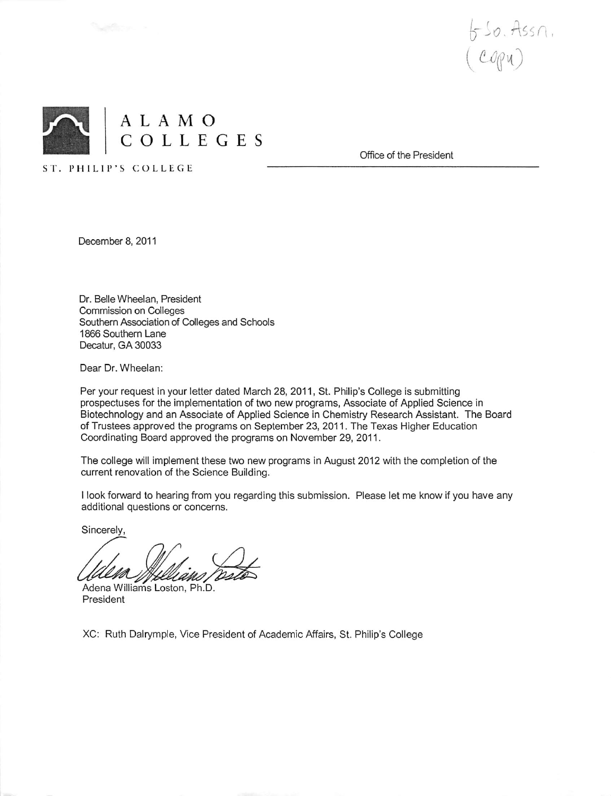



Office of the President

December 8, 2011

ST. PHILIP'S COLLEGE

Dr. Belle Wheelan, President **Commission on Colleges** Southern Association of Colleges and Schools 1866 Southern Lane Decatur, GA 30033

Dear Dr. Wheelan:

Per your request in your letter dated March 28, 2011, St. Philip's College is submitting prospectuses for the implementation of two new programs, Associate of Applied Science in Biotechnology and an Associate of Applied Science in Chemistry Research Assistant. The Board of Trustees approved the programs on September 23, 2011. The Texas Higher Education Coordinating Board approved the programs on November 29, 2011.

The college will implement these two new programs in August 2012 with the completion of the current renovation of the Science Building.

I look forward to hearing from you regarding this submission. Please let me know if you have any additional questions or concerns.

Sincerely,

Adena Williams Loston, Ph.D. President

XC: Ruth Dalrymple, Vice President of Academic Affairs, St. Philip's College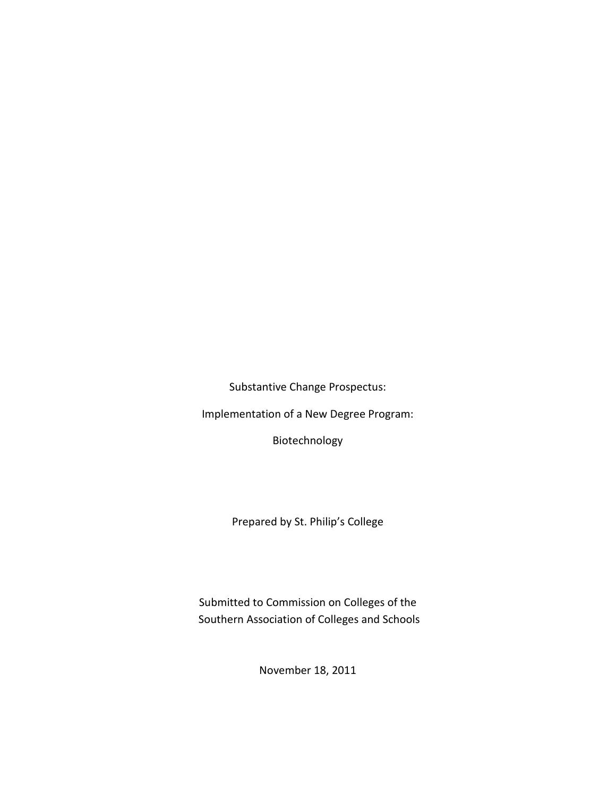Substantive Change Prospectus:

Implementation of a New Degree Program:

Biotechnology

Prepared by St. Philip's College

Submitted to Commission on Colleges of the Southern Association of Colleges and Schools

November 18, 2011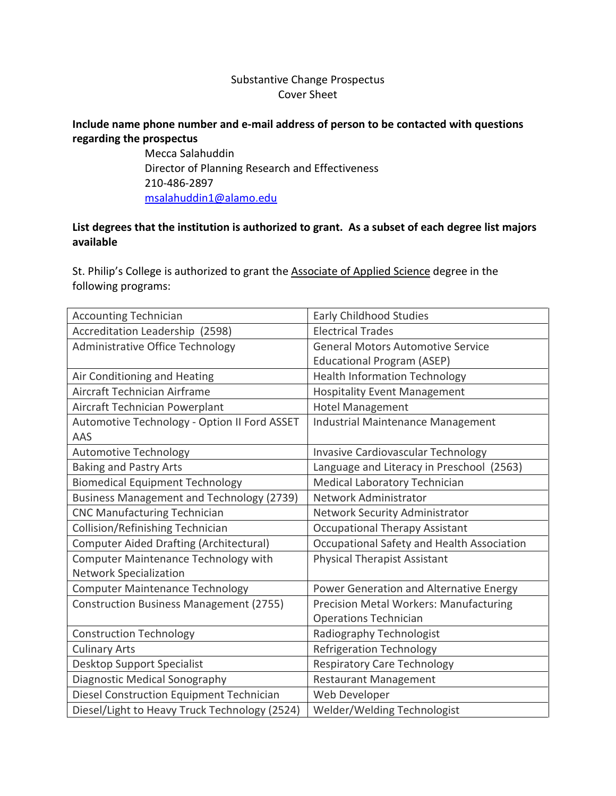# Substantive Change Prospectus Cover Sheet

### **Include name phone number and e-mail address of person to be contacted with questions regarding the prospectus**

Mecca Salahuddin Director of Planning Research and Effectiveness 210-486-2897 [msalahuddin1@alamo.edu](mailto:msalahuddin1@alamo.edu)

# **List degrees that the institution is authorized to grant. As a subset of each degree list majors available**

St. Philip's College is authorized to grant the Associate of Applied Science degree in the following programs:

| <b>Accounting Technician</b>                   | <b>Early Childhood Studies</b>             |
|------------------------------------------------|--------------------------------------------|
| Accreditation Leadership (2598)                | <b>Electrical Trades</b>                   |
| Administrative Office Technology               | <b>General Motors Automotive Service</b>   |
|                                                | <b>Educational Program (ASEP)</b>          |
| Air Conditioning and Heating                   | <b>Health Information Technology</b>       |
| Aircraft Technician Airframe                   | <b>Hospitality Event Management</b>        |
| Aircraft Technician Powerplant                 | <b>Hotel Management</b>                    |
| Automotive Technology - Option II Ford ASSET   | Industrial Maintenance Management          |
| AAS                                            |                                            |
| <b>Automotive Technology</b>                   | Invasive Cardiovascular Technology         |
| <b>Baking and Pastry Arts</b>                  | Language and Literacy in Preschool (2563)  |
| <b>Biomedical Equipment Technology</b>         | Medical Laboratory Technician              |
| Business Management and Technology (2739)      | Network Administrator                      |
| <b>CNC Manufacturing Technician</b>            | Network Security Administrator             |
| Collision/Refinishing Technician               | <b>Occupational Therapy Assistant</b>      |
| <b>Computer Aided Drafting (Architectural)</b> | Occupational Safety and Health Association |
| <b>Computer Maintenance Technology with</b>    | <b>Physical Therapist Assistant</b>        |
| <b>Network Specialization</b>                  |                                            |
| <b>Computer Maintenance Technology</b>         | Power Generation and Alternative Energy    |
| <b>Construction Business Management (2755)</b> | Precision Metal Workers: Manufacturing     |
|                                                | Operations Technician                      |
| <b>Construction Technology</b>                 | Radiography Technologist                   |
| <b>Culinary Arts</b>                           | Refrigeration Technology                   |
| Desktop Support Specialist                     | <b>Respiratory Care Technology</b>         |
| Diagnostic Medical Sonography                  | <b>Restaurant Management</b>               |
| Diesel Construction Equipment Technician       | Web Developer                              |
| Diesel/Light to Heavy Truck Technology (2524)  | Welder/Welding Technologist                |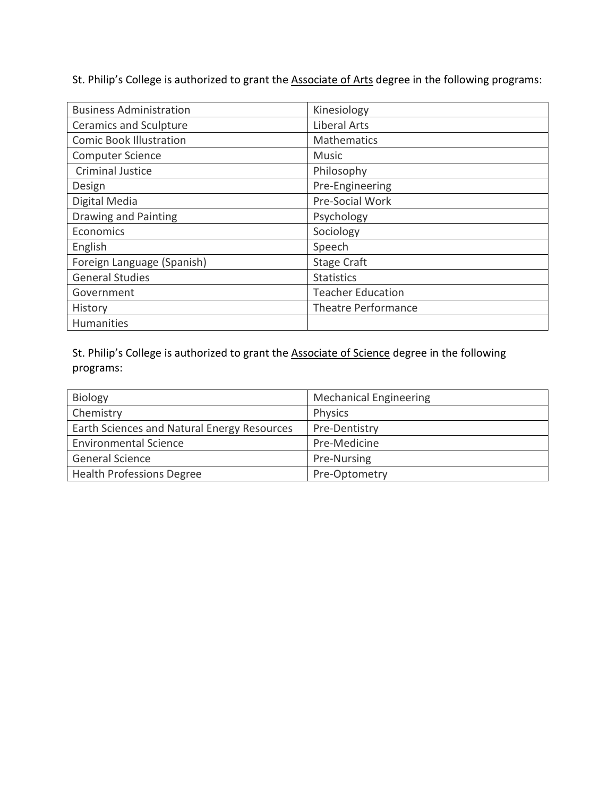St. Philip's College is authorized to grant the **Associate of Arts** degree in the following programs:

| <b>Business Administration</b> | Kinesiology                |
|--------------------------------|----------------------------|
| <b>Ceramics and Sculpture</b>  | <b>Liberal Arts</b>        |
| <b>Comic Book Illustration</b> | <b>Mathematics</b>         |
| <b>Computer Science</b>        | <b>Music</b>               |
| <b>Criminal Justice</b>        | Philosophy                 |
| Design                         | Pre-Engineering            |
| Digital Media                  | Pre-Social Work            |
| Drawing and Painting           | Psychology                 |
| Economics                      | Sociology                  |
| English                        | Speech                     |
| Foreign Language (Spanish)     | <b>Stage Craft</b>         |
| <b>General Studies</b>         | <b>Statistics</b>          |
| Government                     | <b>Teacher Education</b>   |
| History                        | <b>Theatre Performance</b> |
| <b>Humanities</b>              |                            |

St. Philip's College is authorized to grant the **Associate of Science** degree in the following programs:

| <b>Biology</b>                              | <b>Mechanical Engineering</b> |
|---------------------------------------------|-------------------------------|
| Chemistry                                   | Physics                       |
| Earth Sciences and Natural Energy Resources | Pre-Dentistry                 |
| <b>Environmental Science</b>                | Pre-Medicine                  |
| <b>General Science</b>                      | Pre-Nursing                   |
| <b>Health Professions Degree</b>            | Pre-Optometry                 |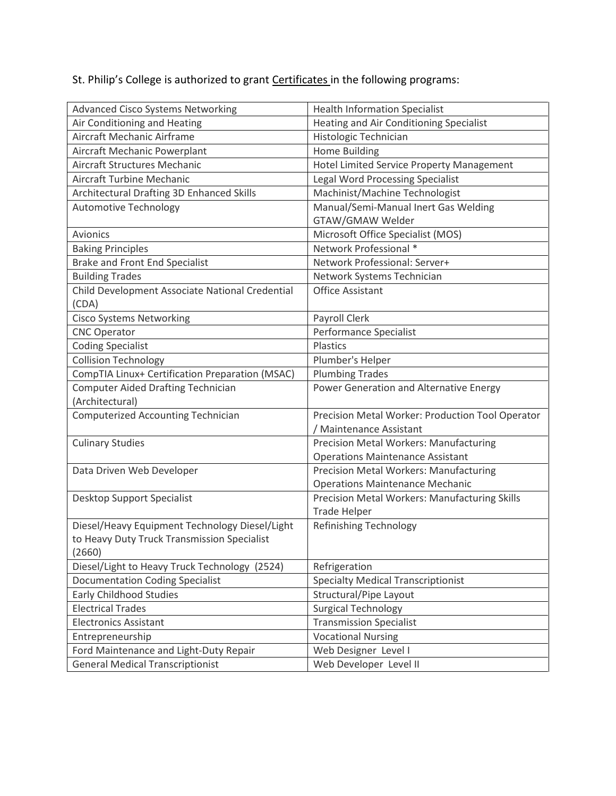# St. Philip's College is authorized to grant **Certificates** in the following programs:

| <b>Advanced Cisco Systems Networking</b>        | <b>Health Information Specialist</b>             |
|-------------------------------------------------|--------------------------------------------------|
| Air Conditioning and Heating                    | Heating and Air Conditioning Specialist          |
| Aircraft Mechanic Airframe                      | Histologic Technician                            |
| Aircraft Mechanic Powerplant                    | <b>Home Building</b>                             |
| Aircraft Structures Mechanic                    | Hotel Limited Service Property Management        |
| Aircraft Turbine Mechanic                       | <b>Legal Word Processing Specialist</b>          |
| Architectural Drafting 3D Enhanced Skills       | Machinist/Machine Technologist                   |
| <b>Automotive Technology</b>                    | Manual/Semi-Manual Inert Gas Welding             |
|                                                 | GTAW/GMAW Welder                                 |
| Avionics                                        | Microsoft Office Specialist (MOS)                |
| <b>Baking Principles</b>                        | Network Professional *                           |
| <b>Brake and Front End Specialist</b>           | Network Professional: Server+                    |
| <b>Building Trades</b>                          | Network Systems Technician                       |
| Child Development Associate National Credential | <b>Office Assistant</b>                          |
| (CDA)                                           |                                                  |
| <b>Cisco Systems Networking</b>                 | Payroll Clerk                                    |
| <b>CNC Operator</b>                             | Performance Specialist                           |
| <b>Coding Specialist</b>                        | Plastics                                         |
| <b>Collision Technology</b>                     | Plumber's Helper                                 |
| CompTIA Linux+ Certification Preparation (MSAC) | <b>Plumbing Trades</b>                           |
| <b>Computer Aided Drafting Technician</b>       | Power Generation and Alternative Energy          |
| (Architectural)                                 |                                                  |
| <b>Computerized Accounting Technician</b>       | Precision Metal Worker: Production Tool Operator |
|                                                 | / Maintenance Assistant                          |
| <b>Culinary Studies</b>                         | Precision Metal Workers: Manufacturing           |
|                                                 | <b>Operations Maintenance Assistant</b>          |
| Data Driven Web Developer                       | Precision Metal Workers: Manufacturing           |
|                                                 | <b>Operations Maintenance Mechanic</b>           |
| Desktop Support Specialist                      | Precision Metal Workers: Manufacturing Skills    |
|                                                 | <b>Trade Helper</b>                              |
| Diesel/Heavy Equipment Technology Diesel/Light  | Refinishing Technology                           |
| to Heavy Duty Truck Transmission Specialist     |                                                  |
| (2660)                                          |                                                  |
| Diesel/Light to Heavy Truck Technology (2524)   | Refrigeration                                    |
| <b>Documentation Coding Specialist</b>          | <b>Specialty Medical Transcriptionist</b>        |
| <b>Early Childhood Studies</b>                  | Structural/Pipe Layout                           |
| <b>Electrical Trades</b>                        | <b>Surgical Technology</b>                       |
| <b>Electronics Assistant</b>                    | <b>Transmission Specialist</b>                   |
| Entrepreneurship                                | <b>Vocational Nursing</b>                        |
| Ford Maintenance and Light-Duty Repair          | Web Designer Level I                             |
| <b>General Medical Transcriptionist</b>         | Web Developer Level II                           |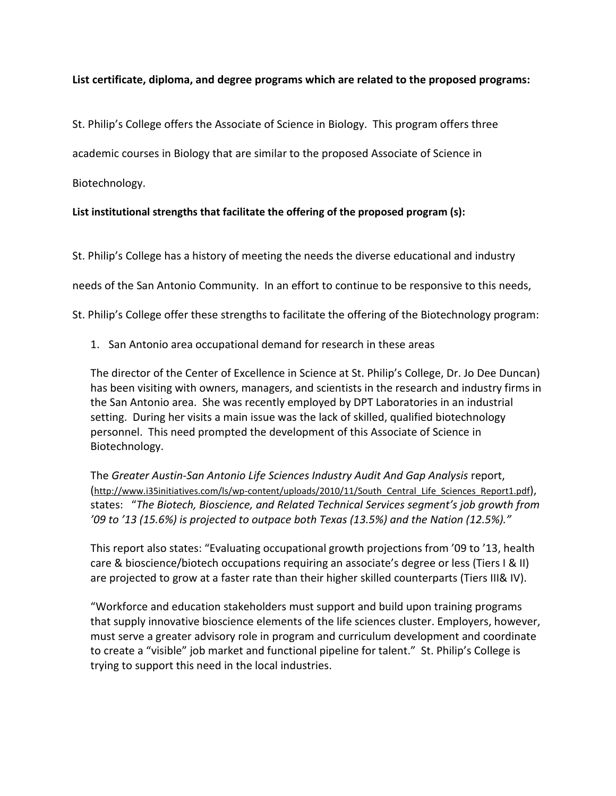### **List certificate, diploma, and degree programs which are related to the proposed programs:**

St. Philip's College offers the Associate of Science in Biology. This program offers three

academic courses in Biology that are similar to the proposed Associate of Science in

Biotechnology.

### **List institutional strengths that facilitate the offering of the proposed program (s):**

St. Philip's College has a history of meeting the needs the diverse educational and industry

needs of the San Antonio Community. In an effort to continue to be responsive to this needs,

St. Philip's College offer these strengths to facilitate the offering of the Biotechnology program:

1. San Antonio area occupational demand for research in these areas

The director of the Center of Excellence in Science at St. Philip's College, Dr. Jo Dee Duncan) has been visiting with owners, managers, and scientists in the research and industry firms in the San Antonio area. She was recently employed by DPT Laboratories in an industrial setting. During her visits a main issue was the lack of skilled, qualified biotechnology personnel. This need prompted the development of this Associate of Science in Biotechnology.

The *Greater Austin-San Antonio Life Sciences Industry Audit And Gap Analysis* report, [\(http://www.i35initiatives.com/ls/wp-content/uploads/2010/11/South\\_Central\\_Life\\_Sciences\\_Report1.pdf\)](http://www.i35initiatives.com/ls/wp-content/uploads/2010/11/South_Central_Life_Sciences_Report1.pdf), states: "*The Biotech, Bioscience, and Related Technical Services segment's job growth from '09 to '13 (15.6%) is projected to outpace both Texas (13.5%) and the Nation (12.5%)."*

This report also states: "Evaluating occupational growth projections from '09 to '13, health care & bioscience/biotech occupations requiring an associate's degree or less (Tiers I & II) are projected to grow at a faster rate than their higher skilled counterparts (Tiers III& IV).

"Workforce and education stakeholders must support and build upon training programs that supply innovative bioscience elements of the life sciences cluster. Employers, however, must serve a greater advisory role in program and curriculum development and coordinate to create a "visible" job market and functional pipeline for talent." St. Philip's College is trying to support this need in the local industries.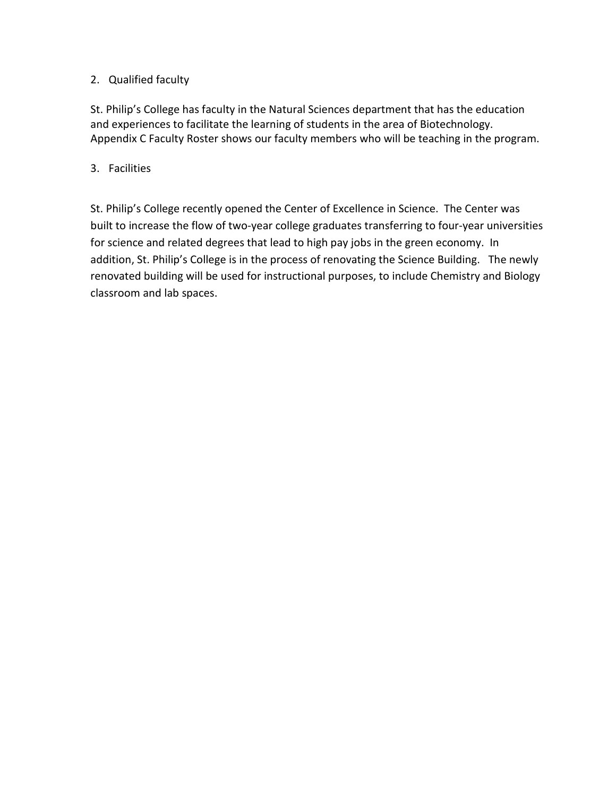# 2. Qualified faculty

St. Philip's College has faculty in the Natural Sciences department that has the education and experiences to facilitate the learning of students in the area of Biotechnology. Appendix C Faculty Roster shows our faculty members who will be teaching in the program.

# 3. Facilities

St. Philip's College recently opened the Center of Excellence in Science. The Center was built to increase the flow of two-year college graduates transferring to four-year universities for science and related degrees that lead to high pay jobs in the green economy. In addition, St. Philip's College is in the process of renovating the Science Building. The newly renovated building will be used for instructional purposes, to include Chemistry and Biology classroom and lab spaces.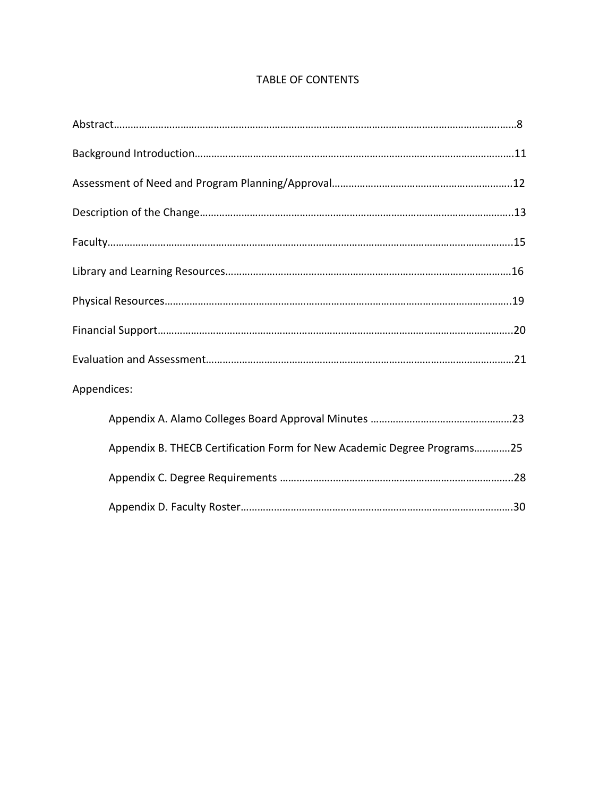# TABLE OF CONTENTS

| Appendices:                                                             |  |
|-------------------------------------------------------------------------|--|
|                                                                         |  |
| Appendix B. THECB Certification Form for New Academic Degree Programs25 |  |
|                                                                         |  |
|                                                                         |  |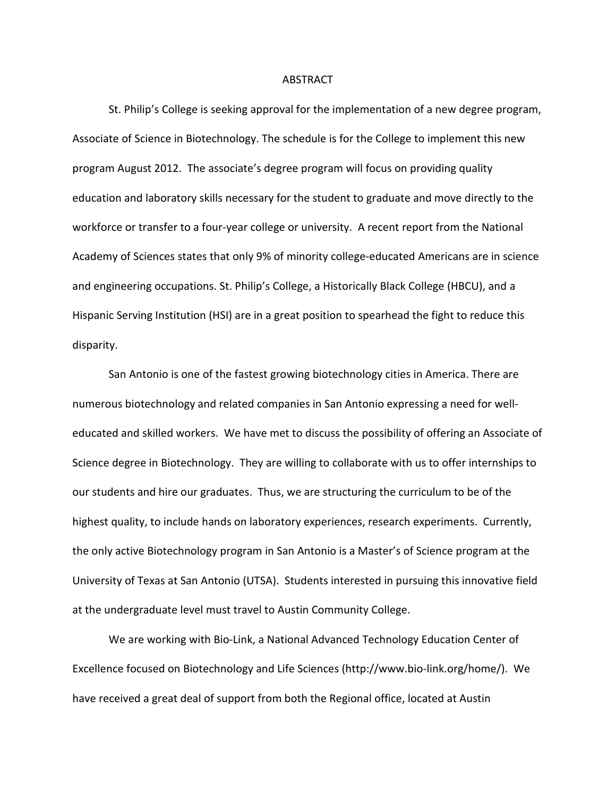#### ABSTRACT

St. Philip's College is seeking approval for the implementation of a new degree program, Associate of Science in Biotechnology. The schedule is for the College to implement this new program August 2012. The associate's degree program will focus on providing quality education and laboratory skills necessary for the student to graduate and move directly to the workforce or transfer to a four-year college or university. A recent report from the National Academy of Sciences states that only 9% of minority college-educated Americans are in science and engineering occupations. St. Philip's College, a Historically Black College (HBCU), and a Hispanic Serving Institution (HSI) are in a great position to spearhead the fight to reduce this disparity.

San Antonio is one of the fastest growing biotechnology cities in America. There are numerous biotechnology and related companies in San Antonio expressing a need for welleducated and skilled workers. We have met to discuss the possibility of offering an Associate of Science degree in Biotechnology. They are willing to collaborate with us to offer internships to our students and hire our graduates. Thus, we are structuring the curriculum to be of the highest quality, to include hands on laboratory experiences, research experiments. Currently, the only active Biotechnology program in San Antonio is a Master's of Science program at the University of Texas at San Antonio (UTSA). Students interested in pursuing this innovative field at the undergraduate level must travel to Austin Community College.

We are working with Bio-Link, a National Advanced Technology Education Center of Excellence focused on Biotechnology and Life Sciences (http://www.bio-link.org/home/). We have received a great deal of support from both the Regional office, located at Austin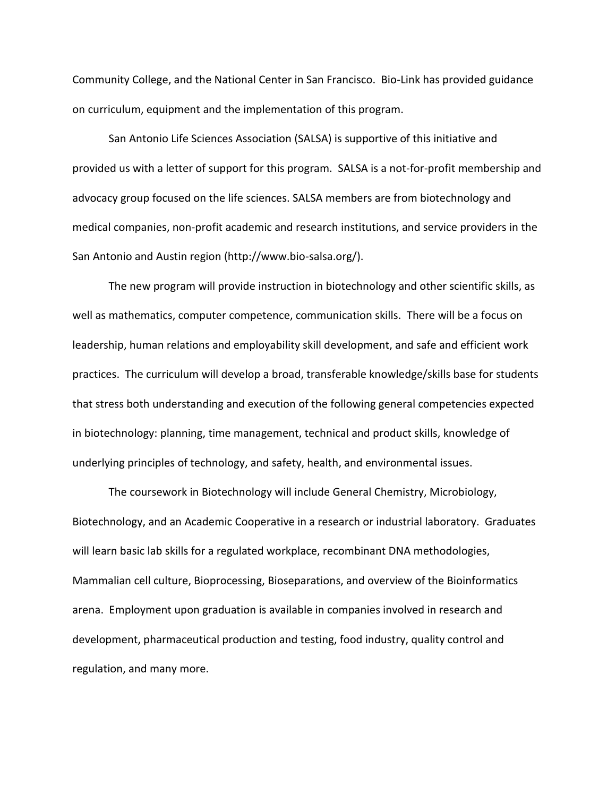Community College, and the National Center in San Francisco. Bio-Link has provided guidance on curriculum, equipment and the implementation of this program.

San Antonio Life Sciences Association (SALSA) is supportive of this initiative and provided us with a letter of support for this program. SALSA is a not-for-profit membership and advocacy group focused on the life sciences. SALSA members are from biotechnology and medical companies, non-profit academic and research institutions, and service providers in the San Antonio and Austin region (http://www.bio-salsa.org/).

The new program will provide instruction in biotechnology and other scientific skills, as well as mathematics, computer competence, communication skills. There will be a focus on leadership, human relations and employability skill development, and safe and efficient work practices. The curriculum will develop a broad, transferable knowledge/skills base for students that stress both understanding and execution of the following general competencies expected in biotechnology: planning, time management, technical and product skills, knowledge of underlying principles of technology, and safety, health, and environmental issues.

The coursework in Biotechnology will include General Chemistry, Microbiology, Biotechnology, and an Academic Cooperative in a research or industrial laboratory. Graduates will learn basic lab skills for a regulated workplace, recombinant DNA methodologies, Mammalian cell culture, Bioprocessing, Bioseparations, and overview of the Bioinformatics arena. Employment upon graduation is available in companies involved in research and development, pharmaceutical production and testing, food industry, quality control and regulation, and many more.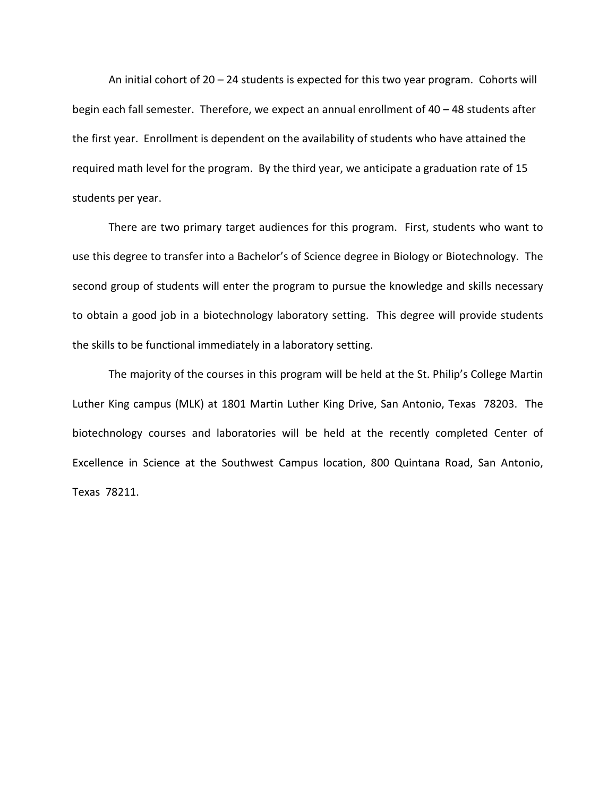An initial cohort of 20 – 24 students is expected for this two year program. Cohorts will begin each fall semester. Therefore, we expect an annual enrollment of 40 – 48 students after the first year. Enrollment is dependent on the availability of students who have attained the required math level for the program. By the third year, we anticipate a graduation rate of 15 students per year.

There are two primary target audiences for this program. First, students who want to use this degree to transfer into a Bachelor's of Science degree in Biology or Biotechnology. The second group of students will enter the program to pursue the knowledge and skills necessary to obtain a good job in a biotechnology laboratory setting. This degree will provide students the skills to be functional immediately in a laboratory setting.

The majority of the courses in this program will be held at the St. Philip's College Martin Luther King campus (MLK) at 1801 Martin Luther King Drive, San Antonio, Texas 78203. The biotechnology courses and laboratories will be held at the recently completed Center of Excellence in Science at the Southwest Campus location, 800 Quintana Road, San Antonio, Texas 78211.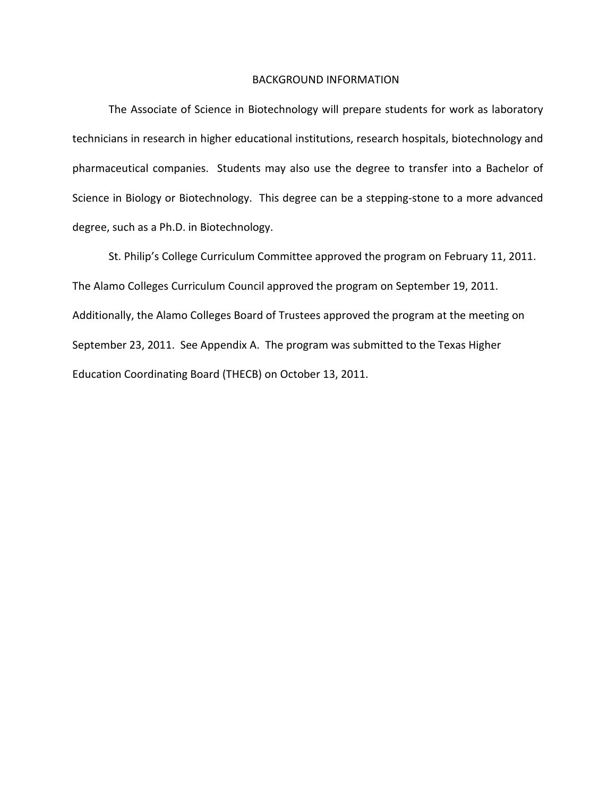### BACKGROUND INFORMATION

The Associate of Science in Biotechnology will prepare students for work as laboratory technicians in research in higher educational institutions, research hospitals, biotechnology and pharmaceutical companies. Students may also use the degree to transfer into a Bachelor of Science in Biology or Biotechnology. This degree can be a stepping-stone to a more advanced degree, such as a Ph.D. in Biotechnology.

St. Philip's College Curriculum Committee approved the program on February 11, 2011. The Alamo Colleges Curriculum Council approved the program on September 19, 2011. Additionally, the Alamo Colleges Board of Trustees approved the program at the meeting on September 23, 2011. See Appendix A. The program was submitted to the Texas Higher Education Coordinating Board (THECB) on October 13, 2011.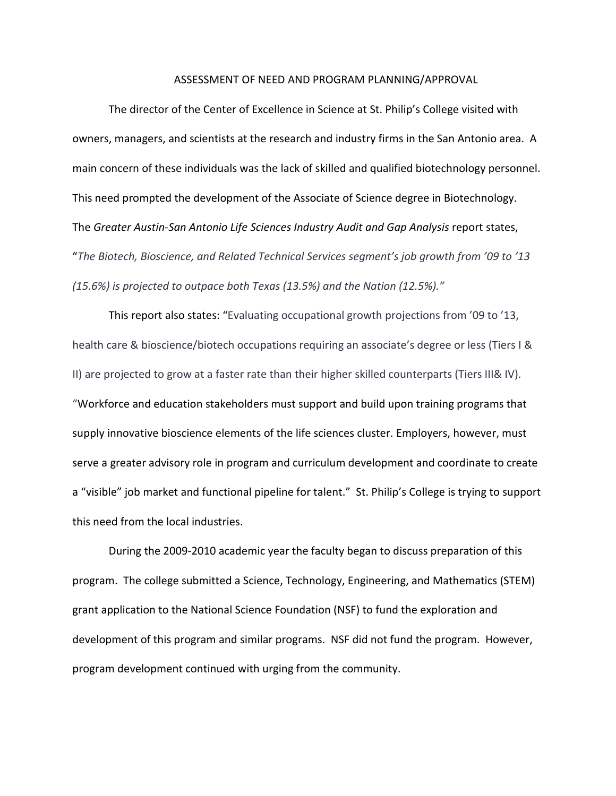#### ASSESSMENT OF NEED AND PROGRAM PLANNING/APPROVAL

The director of the Center of Excellence in Science at St. Philip's College visited with owners, managers, and scientists at the research and industry firms in the San Antonio area. A main concern of these individuals was the lack of skilled and qualified biotechnology personnel. This need prompted the development of the Associate of Science degree in Biotechnology. The *Greater Austin-San Antonio Life Sciences Industry Audit and Gap Analysis* report states, "*The Biotech, Bioscience, and Related Technical Services segment's job growth from '09 to '13 (15.6%) is projected to outpace both Texas (13.5%) and the Nation (12.5%)."*

This report also states: "Evaluating occupational growth projections from '09 to '13, health care & bioscience/biotech occupations requiring an associate's degree or less (Tiers I & II) are projected to grow at a faster rate than their higher skilled counterparts (Tiers III& IV). "Workforce and education stakeholders must support and build upon training programs that supply innovative bioscience elements of the life sciences cluster. Employers, however, must serve a greater advisory role in program and curriculum development and coordinate to create a "visible" job market and functional pipeline for talent." St. Philip's College is trying to support this need from the local industries.

During the 2009-2010 academic year the faculty began to discuss preparation of this program. The college submitted a Science, Technology, Engineering, and Mathematics (STEM) grant application to the National Science Foundation (NSF) to fund the exploration and development of this program and similar programs. NSF did not fund the program. However, program development continued with urging from the community.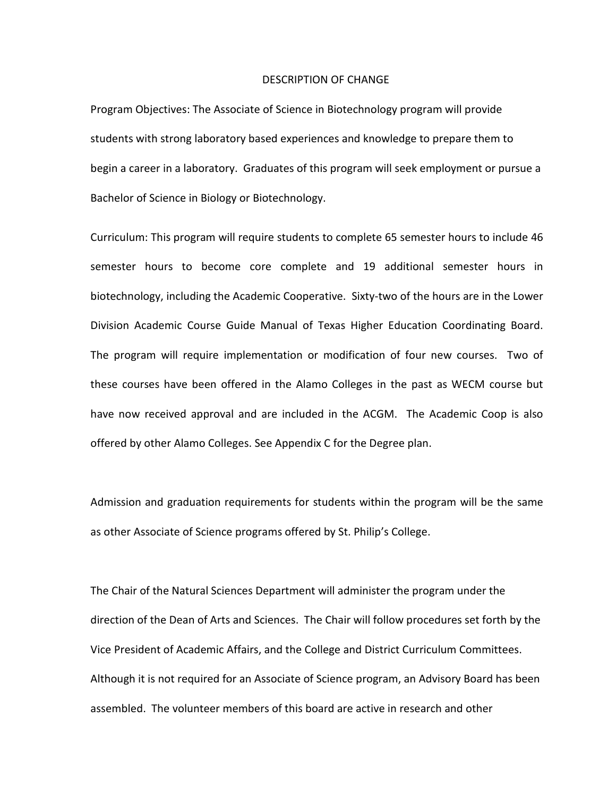#### DESCRIPTION OF CHANGE

Program Objectives: The Associate of Science in Biotechnology program will provide students with strong laboratory based experiences and knowledge to prepare them to begin a career in a laboratory. Graduates of this program will seek employment or pursue a Bachelor of Science in Biology or Biotechnology.

Curriculum: This program will require students to complete 65 semester hours to include 46 semester hours to become core complete and 19 additional semester hours in biotechnology, including the Academic Cooperative. Sixty-two of the hours are in the Lower Division Academic Course Guide Manual of Texas Higher Education Coordinating Board. The program will require implementation or modification of four new courses. Two of these courses have been offered in the Alamo Colleges in the past as WECM course but have now received approval and are included in the ACGM. The Academic Coop is also offered by other Alamo Colleges. See Appendix C for the Degree plan.

Admission and graduation requirements for students within the program will be the same as other Associate of Science programs offered by St. Philip's College.

The Chair of the Natural Sciences Department will administer the program under the direction of the Dean of Arts and Sciences. The Chair will follow procedures set forth by the Vice President of Academic Affairs, and the College and District Curriculum Committees. Although it is not required for an Associate of Science program, an Advisory Board has been assembled. The volunteer members of this board are active in research and other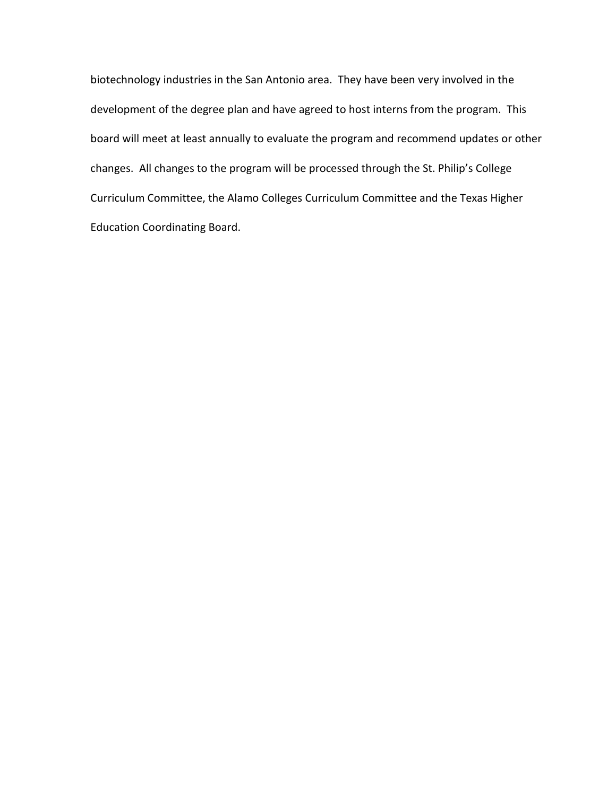biotechnology industries in the San Antonio area. They have been very involved in the development of the degree plan and have agreed to host interns from the program. This board will meet at least annually to evaluate the program and recommend updates or other changes. All changes to the program will be processed through the St. Philip's College Curriculum Committee, the Alamo Colleges Curriculum Committee and the Texas Higher Education Coordinating Board.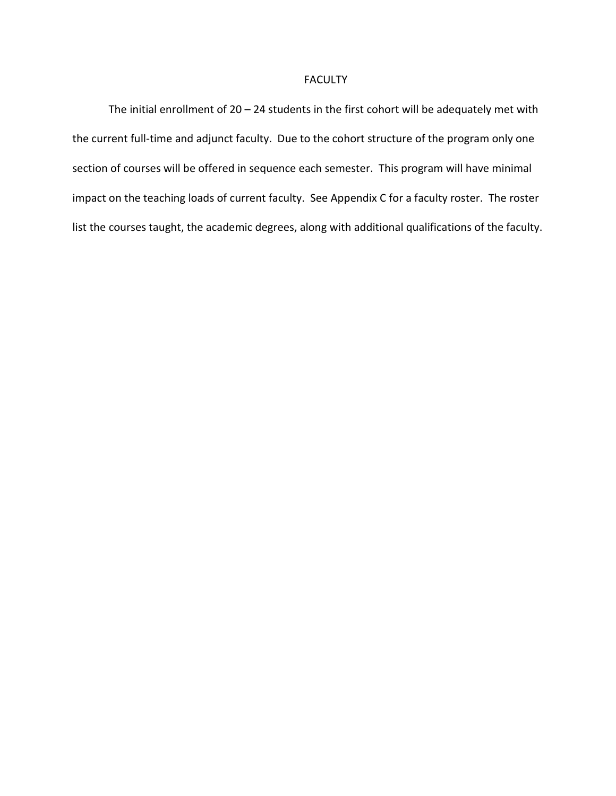### FACULTY

The initial enrollment of  $20 - 24$  students in the first cohort will be adequately met with the current full-time and adjunct faculty. Due to the cohort structure of the program only one section of courses will be offered in sequence each semester. This program will have minimal impact on the teaching loads of current faculty. See Appendix C for a faculty roster. The roster list the courses taught, the academic degrees, along with additional qualifications of the faculty.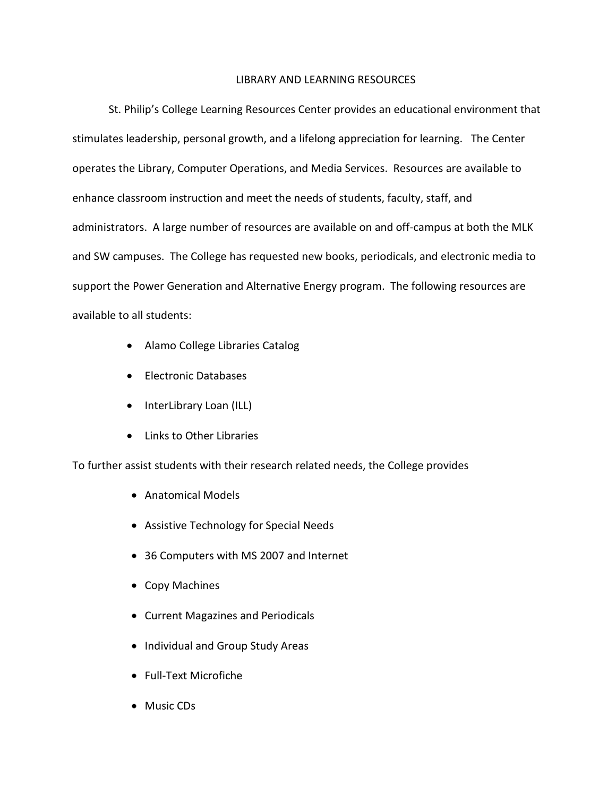### LIBRARY AND LEARNING RESOURCES

St. Philip's College Learning Resources Center provides an educational environment that stimulates leadership, personal growth, and a lifelong appreciation for learning. The Center operates the Library, Computer Operations, and Media Services. Resources are available to enhance classroom instruction and meet the needs of students, faculty, staff, and administrators. A large number of resources are available on and off-campus at both the MLK and SW campuses. The College has requested new books, periodicals, and electronic media to support the Power Generation and Alternative Energy program. The following resources are available to all students:

- Alamo College Libraries Catalog
- Electronic Databases
- InterLibrary Loan (ILL)
- Links to Other Libraries

To further assist students with their research related needs, the College provides

- Anatomical Models
- Assistive Technology for Special Needs
- 36 Computers with MS 2007 and Internet
- Copy Machines
- Current Magazines and Periodicals
- Individual and Group Study Areas
- Full-Text Microfiche
- Music CDs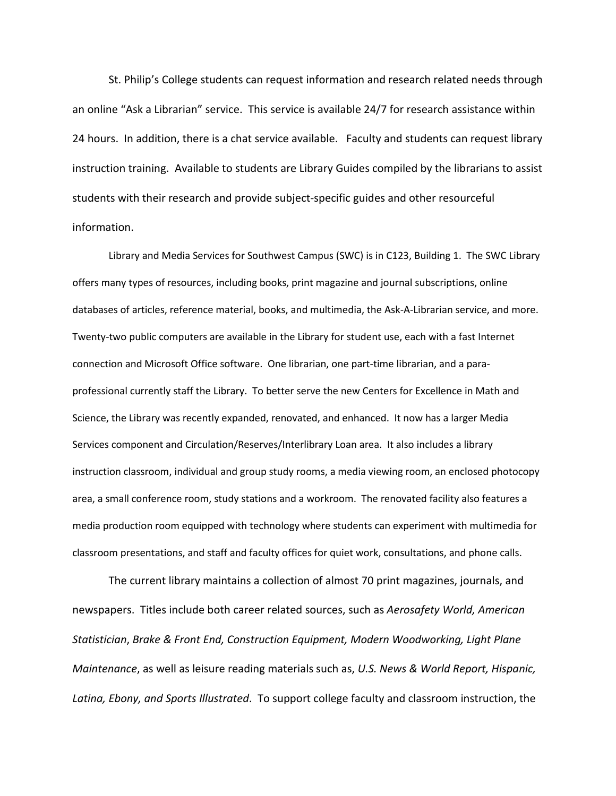St. Philip's College students can request information and research related needs through an online "Ask a Librarian" service. This service is available 24/7 for research assistance within 24 hours. In addition, there is a chat service available. Faculty and students can request library instruction training. Available to students are Library Guides compiled by the librarians to assist students with their research and provide subject-specific guides and other resourceful information.

Library and Media Services for Southwest Campus (SWC) is in C123, Building 1. The SWC Library offers many types of resources, including books, print magazine and journal subscriptions, online databases of articles, reference material, books, and multimedia, the Ask-A-Librarian service, and more. Twenty-two public computers are available in the Library for student use, each with a fast Internet connection and Microsoft Office software. One librarian, one part-time librarian, and a paraprofessional currently staff the Library. To better serve the new Centers for Excellence in Math and Science, the Library was recently expanded, renovated, and enhanced. It now has a larger Media Services component and Circulation/Reserves/Interlibrary Loan area. It also includes a library instruction classroom, individual and group study rooms, a media viewing room, an enclosed photocopy area, a small conference room, study stations and a workroom. The renovated facility also features a media production room equipped with technology where students can experiment with multimedia for classroom presentations, and staff and faculty offices for quiet work, consultations, and phone calls.

The current library maintains a collection of almost 70 print magazines, journals, and newspapers. Titles include both career related sources, such as *Aerosafety World, American Statistician*, *Brake & Front End, Construction Equipment, Modern Woodworking, Light Plane Maintenance*, as well as leisure reading materials such as, *U.S. News & World Report, Hispanic, Latina, Ebony, and Sports Illustrated*. To support college faculty and classroom instruction, the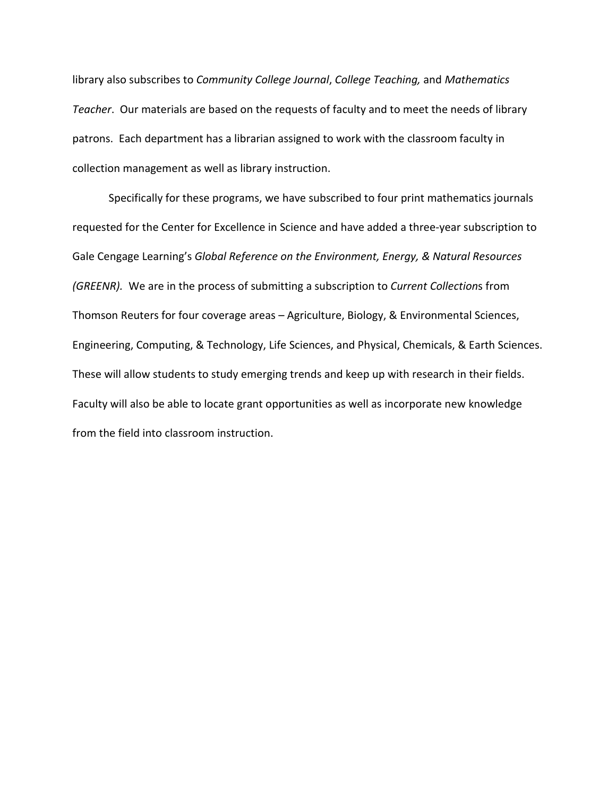library also subscribes to *Community College Journal*, *College Teaching,* and *Mathematics Teacher*. Our materials are based on the requests of faculty and to meet the needs of library patrons. Each department has a librarian assigned to work with the classroom faculty in collection management as well as library instruction.

Specifically for these programs, we have subscribed to four print mathematics journals requested for the Center for Excellence in Science and have added a three-year subscription to Gale Cengage Learning's *Global Reference on the Environment, Energy, & Natural Resources (GREENR).* We are in the process of submitting a subscription to *Current Collection*s from Thomson Reuters for four coverage areas – Agriculture, Biology, & Environmental Sciences, Engineering, Computing, & Technology, Life Sciences, and Physical, Chemicals, & Earth Sciences. These will allow students to study emerging trends and keep up with research in their fields. Faculty will also be able to locate grant opportunities as well as incorporate new knowledge from the field into classroom instruction.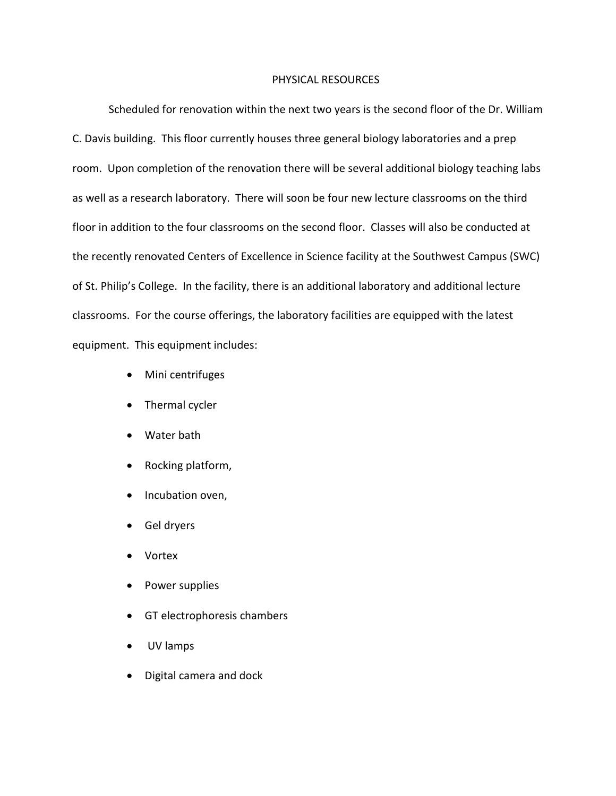### PHYSICAL RESOURCES

Scheduled for renovation within the next two years is the second floor of the Dr. William C. Davis building. This floor currently houses three general biology laboratories and a prep room. Upon completion of the renovation there will be several additional biology teaching labs as well as a research laboratory. There will soon be four new lecture classrooms on the third floor in addition to the four classrooms on the second floor. Classes will also be conducted at the recently renovated Centers of Excellence in Science facility at the Southwest Campus (SWC) of St. Philip's College. In the facility, there is an additional laboratory and additional lecture classrooms. For the course offerings, the laboratory facilities are equipped with the latest equipment. This equipment includes:

- Mini centrifuges
- Thermal cycler
- Water bath
- Rocking platform,
- Incubation oven,
- Gel dryers
- Vortex
- Power supplies
- GT electrophoresis chambers
- UV lamps
- Digital camera and dock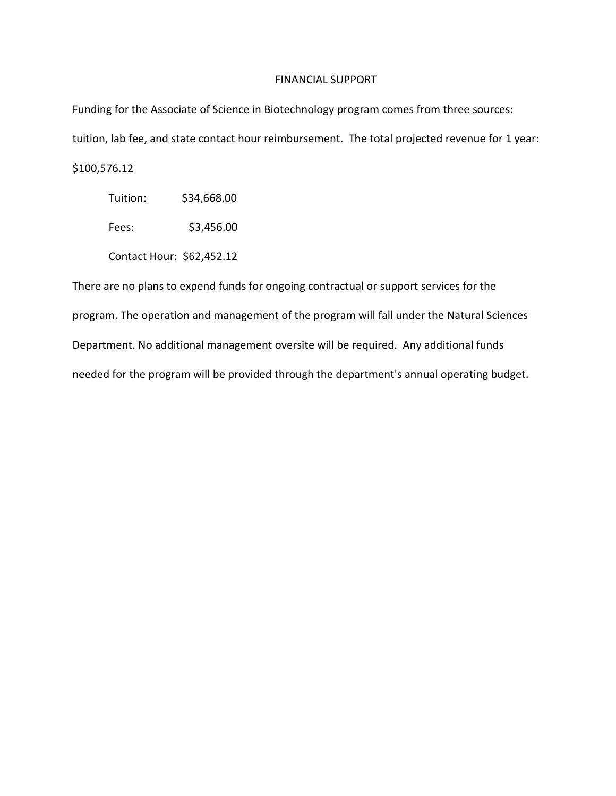### FINANCIAL SUPPORT

Funding for the Associate of Science in Biotechnology program comes from three sources: tuition, lab fee, and state contact hour reimbursement. The total projected revenue for 1 year: \$100,576.12

Tuition: \$34,668.00

Fees: \$3,456.00

Contact Hour: \$62,452.12

There are no plans to expend funds for ongoing contractual or support services for the program. The operation and management of the program will fall under the Natural Sciences Department. No additional management oversite will be required. Any additional funds needed for the program will be provided through the department's annual operating budget.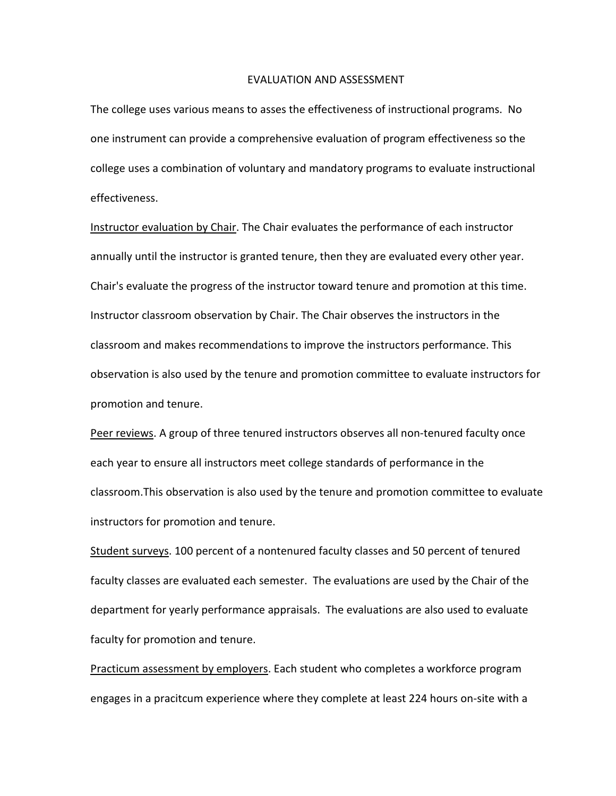#### EVALUATION AND ASSESSMENT

The college uses various means to asses the effectiveness of instructional programs. No one instrument can provide a comprehensive evaluation of program effectiveness so the college uses a combination of voluntary and mandatory programs to evaluate instructional effectiveness.

Instructor evaluation by Chair. The Chair evaluates the performance of each instructor annually until the instructor is granted tenure, then they are evaluated every other year. Chair's evaluate the progress of the instructor toward tenure and promotion at this time. Instructor classroom observation by Chair. The Chair observes the instructors in the classroom and makes recommendations to improve the instructors performance. This observation is also used by the tenure and promotion committee to evaluate instructors for promotion and tenure.

Peer reviews. A group of three tenured instructors observes all non-tenured faculty once each year to ensure all instructors meet college standards of performance in the classroom.This observation is also used by the tenure and promotion committee to evaluate instructors for promotion and tenure.

Student surveys. 100 percent of a nontenured faculty classes and 50 percent of tenured faculty classes are evaluated each semester. The evaluations are used by the Chair of the department for yearly performance appraisals. The evaluations are also used to evaluate faculty for promotion and tenure.

Practicum assessment by employers. Each student who completes a workforce program engages in a pracitcum experience where they complete at least 224 hours on-site with a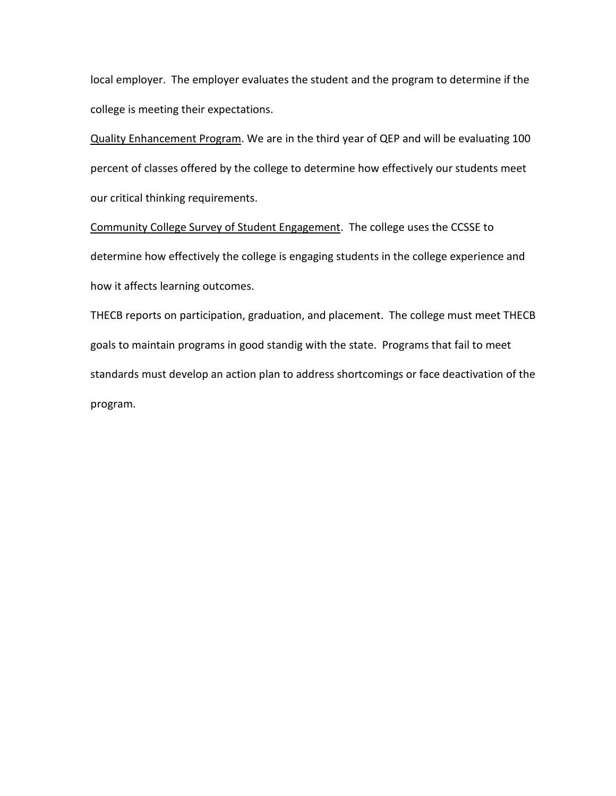local employer. The employer evaluates the student and the program to determine if the college is meeting their expectations.

Quality Enhancement Program. We are in the third year of QEP and will be evaluating 100 percent of classes offered by the college to determine how effectively our students meet our critical thinking requirements.

Community College Survey of Student Engagement. The college uses the CCSSE to determine how effectively the college is engaging students in the college experience and how it affects learning outcomes.

THECB reports on participation, graduation, and placement. The college must meet THECB goals to maintain programs in good standig with the state. Programs that fail to meet standards must develop an action plan to address shortcomings or face deactivation of the program.